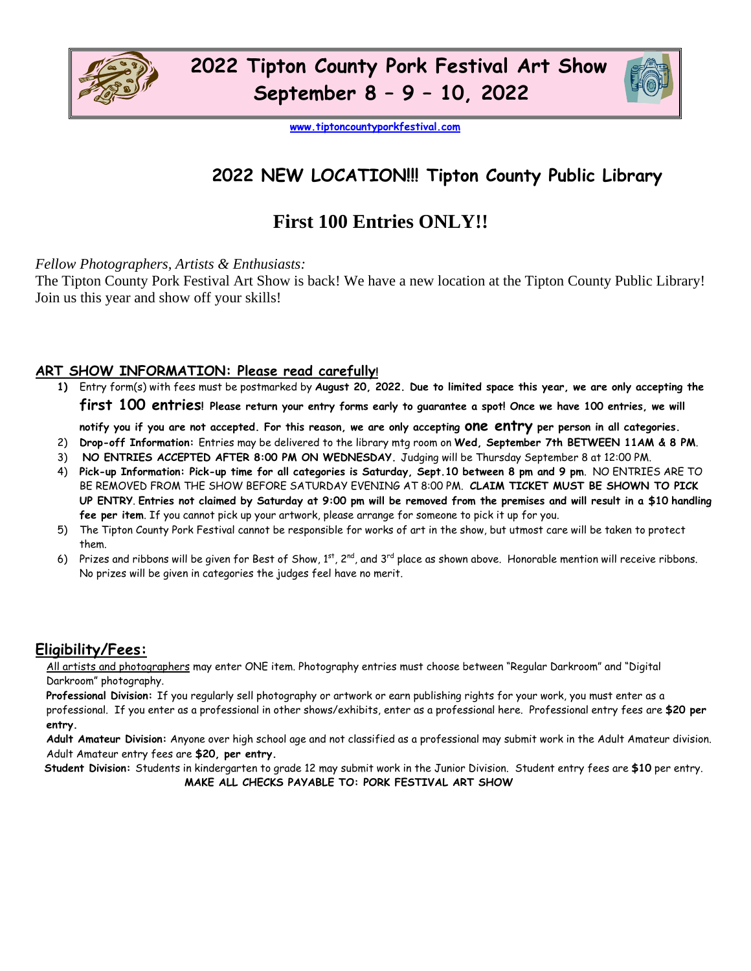



**[www.tiptoncountyporkfestival.com](http://www.tiptoncountyporkfestival.com/)** 

## **2022 NEW LOCATION!!! Tipton County Public Library**

## **First 100 Entries ONLY!!**

*Fellow Photographers, Artists & Enthusiasts:*

The Tipton County Pork Festival Art Show is back! We have a new location at the Tipton County Public Library! Join us this year and show off your skills!

#### **ART SHOW INFORMATION: Please read carefully!**

**1)** Entry form(s) with fees must be postmarked by **August 20, 2022. Due to limited space this year, we are only accepting the first 100 entries! Please return your entry forms early to guarantee a spot! Once we have 100 entries, we will notify you if you are not accepted. For this reason, we are only accepting one entry per person in all categories.** 

- 2) **Drop-off Information:** Entries may be delivered to the library mtg room on **Wed, September 7th BETWEEN 11AM & 8 PM**.
- 3) **NO ENTRIES ACCEPTED AFTER 8:00 PM ON WEDNESDAY.** Judging will be Thursday September 8 at 12:00 PM.
- 4) **Pick-up Information: Pick-up time for all categories is Saturday, Sept.10 between 8 pm and 9 pm**. NO ENTRIES ARE TO BE REMOVED FROM THE SHOW BEFORE SATURDAY EVENING AT 8:00 PM. **CLAIM TICKET MUST BE SHOWN TO PICK UP ENTRY**. **Entries not claimed by Saturday at 9:00 pm will be removed from the premises and will result in a \$10 handling fee per item**. If you cannot pick up your artwork, please arrange for someone to pick it up for you.
- 5) The Tipton County Pork Festival cannot be responsible for works of art in the show, but utmost care will be taken to protect them.
- 6) Prizes and ribbons will be given for Best of Show,  $1^{st}$ ,  $2^{nd}$ , and  $3^{rd}$  place as shown above. Honorable mention will receive ribbons. No prizes will be given in categories the judges feel have no merit.

#### **Eligibility/Fees:**

All artists and photographers may enter ONE item. Photography entries must choose between "Regular Darkroom" and "Digital Darkroom" photography.

**Professional Division:** If you regularly sell photography or artwork or earn publishing rights for your work, you must enter as a professional. If you enter as a professional in other shows/exhibits, enter as a professional here. Professional entry fees are **\$20 per entry.** 

**Adult Amateur Division:** Anyone over high school age and not classified as a professional may submit work in the Adult Amateur division. Adult Amateur entry fees are **\$20, per entry.** 

 **Student Division:** Students in kindergarten to grade 12 may submit work in the Junior Division. Student entry fees are **\$10** per entry.  **MAKE ALL CHECKS PAYABLE TO: PORK FESTIVAL ART SHOW**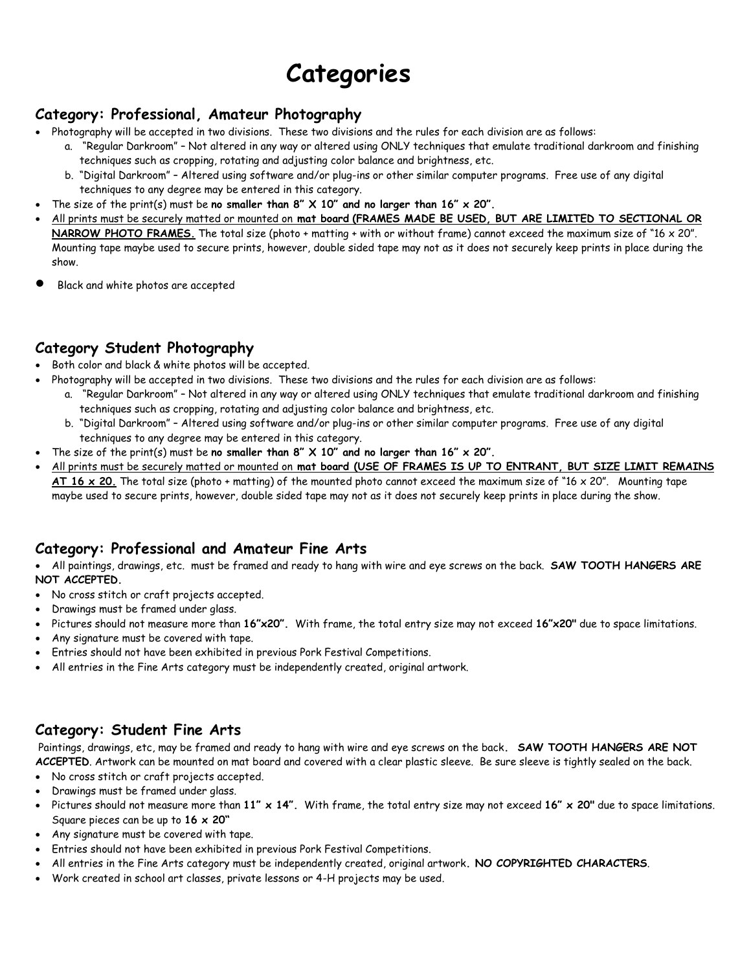# **Categories**

#### **Category: Professional, Amateur Photography**

- Photography will be accepted in two divisions. These two divisions and the rules for each division are as follows:
	- a. "Regular Darkroom" Not altered in any way or altered using ONLY techniques that emulate traditional darkroom and finishing techniques such as cropping, rotating and adjusting color balance and brightness, etc.
	- b. "Digital Darkroom" Altered using software and/or plug-ins or other similar computer programs. Free use of any digital techniques to any degree may be entered in this category.
- The size of the print(s) must be **no smaller than 8"**  $\times$  10" and no larger than 16"  $\times$  20".
- All prints must be securely matted or mounted on **mat board (FRAMES MADE BE USED, BUT ARE LIMITED TO SECTIONAL OR NARROW PHOTO FRAMES.** The total size (photo + matting + with or without frame) cannot exceed the maximum size of "16 x 20". Mounting tape maybe used to secure prints, however, double sided tape may not as it does not securely keep prints in place during the show.
- Black and white photos are accepted

#### **Category Student Photography**

- Both color and black & white photos will be accepted.
- Photography will be accepted in two divisions. These two divisions and the rules for each division are as follows:
	- a. "Regular Darkroom" Not altered in any way or altered using ONLY techniques that emulate traditional darkroom and finishing techniques such as cropping, rotating and adjusting color balance and brightness, etc.
	- b. "Digital Darkroom" Altered using software and/or plug-ins or other similar computer programs. Free use of any digital techniques to any degree may be entered in this category.
- The size of the print(s) must be no smaller than  $8''$   $\times$   $10''$  and no larger than  $16''$   $\times$   $20''$ .
- All prints must be securely matted or mounted on **mat board (USE OF FRAMES IS UP TO ENTRANT, BUT SIZE LIMIT REMAINS AT 16 x 20.** The total size (photo + matting) of the mounted photo cannot exceed the maximum size of "16 x 20". Mounting tape maybe used to secure prints, however, double sided tape may not as it does not securely keep prints in place during the show.

#### **Category: Professional and Amateur Fine Arts**

• All paintings, drawings, etc. must be framed and ready to hang with wire and eye screws on the back. **SAW TOOTH HANGERS ARE NOT ACCEPTED.** 

- No cross stitch or craft projects accepted.
- Drawings must be framed under glass.
- Pictures should not measure more than **16"x20".** With frame, the total entry size may not exceed **16"x20"** due to space limitations.
- Any signature must be covered with tape.
- Entries should not have been exhibited in previous Pork Festival Competitions.
- All entries in the Fine Arts category must be independently created, original artwork.

#### **Category: Student Fine Arts**

Paintings, drawings, etc, may be framed and ready to hang with wire and eye screws on the back**. SAW TOOTH HANGERS ARE NOT ACCEPTED**. Artwork can be mounted on mat board and covered with a clear plastic sleeve. Be sure sleeve is tightly sealed on the back.

- No cross stitch or craft projects accepted.
- Drawings must be framed under glass.
- Pictures should not measure more than **11" x 14".** With frame, the total entry size may not exceed **16" x 20"** due to space limitations. Square pieces can be up to **16 x 20"**
- Any signature must be covered with tape.
- Entries should not have been exhibited in previous Pork Festival Competitions.
- All entries in the Fine Arts category must be independently created, original artwork**. NO COPYRIGHTED CHARACTERS**.
- Work created in school art classes, private lessons or 4-H projects may be used.